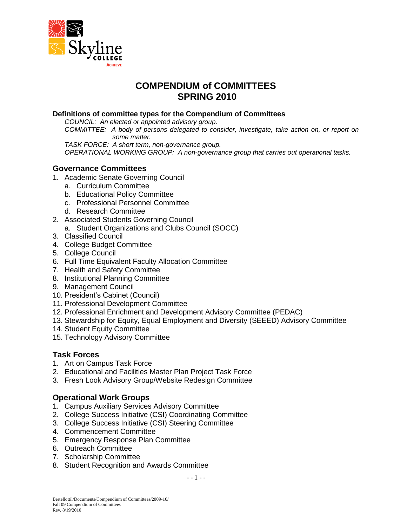

# **COMPENDIUM of COMMITTEES SPRING 2010**

#### **Definitions of committee types for the Compendium of Committees**

*COUNCIL: An elected or appointed advisory group.*

*COMMITTEE: A body of persons delegated to consider, investigate, take action on, or report on some matter.*

*TASK FORCE: A short term, non-governance group.*

*OPERATIONAL WORKING GROUP: A non-governance group that carries out operational tasks.*

#### **Governance Committees**

- 1. Academic Senate Governing Council
	- a. Curriculum Committee
	- b. Educational Policy Committee
	- c. Professional Personnel Committee
	- d. Research Committee
- 2. Associated Students Governing Council
	- a. Student Organizations and Clubs Council (SOCC)
- 3. Classified Council
- 4. College Budget Committee
- 5. College Council
- 6. Full Time Equivalent Faculty Allocation Committee
- 7. Health and Safety Committee
- 8. Institutional Planning Committee
- 9. Management Council
- 10. President's Cabinet (Council)
- 11. Professional Development Committee
- 12. Professional Enrichment and Development Advisory Committee (PEDAC)
- 13. Stewardship for Equity, Equal Employment and Diversity (SEEED) Advisory Committee
- 14. Student Equity Committee
- 15. Technology Advisory Committee

#### **Task Forces**

- 1. Art on Campus Task Force
- 2. Educational and Facilities Master Plan Project Task Force
- 3. Fresh Look Advisory Group/Website Redesign Committee

#### **Operational Work Groups**

- 1. Campus Auxiliary Services Advisory Committee
- 2. College Success Initiative (CSI) Coordinating Committee
- 3. College Success Initiative (CSI) Steering Committee
- 4. Commencement Committee
- 5. Emergency Response Plan Committee
- 6. Outreach Committee
- 7. Scholarship Committee
- 8. Student Recognition and Awards Committee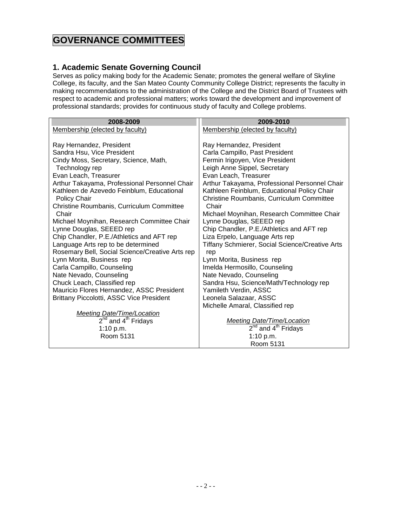# **GOVERNANCE COMMITTEES**

### **1. Academic Senate Governing Council**

Serves as policy making body for the Academic Senate; promotes the general welfare of Skyline College, its faculty, and the San Mateo County Community College District; represents the faculty in making recommendations to the administration of the College and the District Board of Trustees with respect to academic and professional matters; works toward the development and improvement of professional standards; provides for continuous study of faculty and College problems.

| 2008-2009                                                              | 2009-2010                                                             |
|------------------------------------------------------------------------|-----------------------------------------------------------------------|
| Membership (elected by faculty)                                        | Membership (elected by faculty)                                       |
|                                                                        |                                                                       |
| Ray Hernandez, President                                               | Ray Hernandez, President                                              |
| Sandra Hsu, Vice President                                             | Carla Campillo, Past President                                        |
| Cindy Moss, Secretary, Science, Math,                                  | Fermin Irigoyen, Vice President                                       |
| Technology rep                                                         | Leigh Anne Sippel, Secretary                                          |
| Evan Leach, Treasurer                                                  | Evan Leach, Treasurer                                                 |
| Arthur Takayama, Professional Personnel Chair                          | Arthur Takayama, Professional Personnel Chair                         |
| Kathleen de Azevedo Feinblum, Educational                              | Kathleen Feinblum, Educational Policy Chair                           |
| Policy Chair                                                           | Christine Roumbanis, Curriculum Committee                             |
| Christine Roumbanis, Curriculum Committee                              | Chair                                                                 |
| Chair                                                                  | Michael Moynihan, Research Committee Chair                            |
| Michael Moynihan, Research Committee Chair<br>Lynne Douglas, SEEED rep | Lynne Douglas, SEEED rep<br>Chip Chandler, P.E./Athletics and AFT rep |
| Chip Chandler, P.E./Athletics and AFT rep                              | Liza Erpelo, Language Arts rep                                        |
| Language Arts rep to be determined                                     | <b>Tiffany Schmierer, Social Science/Creative Arts</b>                |
| Rosemary Bell, Social Science/Creative Arts rep                        | rep                                                                   |
| Lynn Morita, Business rep                                              | Lynn Morita, Business rep                                             |
| Carla Campillo, Counseling                                             | Imelda Hermosillo, Counseling                                         |
| Nate Nevado, Counseling                                                | Nate Nevado, Counseling                                               |
| Chuck Leach, Classified rep                                            | Sandra Hsu, Science/Math/Technology rep                               |
| Mauricio Flores Hernandez, ASSC President                              | Yamileth Verdin, ASSC                                                 |
| Brittany Piccolotti, ASSC Vice President                               | Leonela Salazaar, ASSC                                                |
|                                                                        | Michelle Amaral, Classified rep                                       |
| <b>Meeting Date/Time/Location</b>                                      |                                                                       |
| $2^{nd}$ and $4^{th}$ Fridays                                          | <b>Meeting Date/Time/Location</b>                                     |
| 1:10 p.m.                                                              | 2 <sup>nd</sup> and 4 <sup>th</sup> Fridays                           |
| Room 5131                                                              | 1:10 $p.m.$                                                           |
|                                                                        | Room 5131                                                             |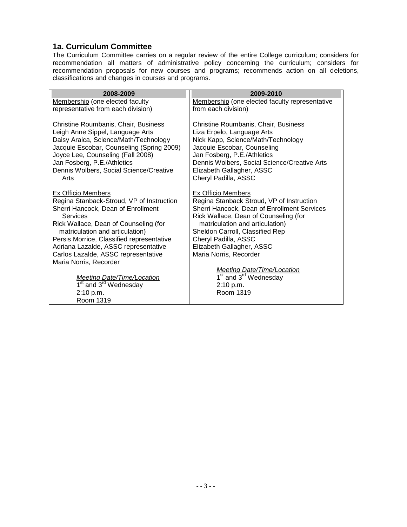#### **1a. Curriculum Committee**

The Curriculum Committee carries on a regular review of the entire College curriculum; considers for recommendation all matters of administrative policy concerning the curriculum; considers for recommendation proposals for new courses and programs; recommends action on all deletions, classifications and changes in courses and programs.

| Membership (one elected faculty representative<br>from each division)<br>Christine Roumbanis, Chair, Business<br>Liza Erpelo, Language Arts<br>Nick Kapp, Science/Math/Technology                                                                                                                                                                 |
|---------------------------------------------------------------------------------------------------------------------------------------------------------------------------------------------------------------------------------------------------------------------------------------------------------------------------------------------------|
|                                                                                                                                                                                                                                                                                                                                                   |
| Jacquie Escobar, Counseling<br>Jan Fosberg, P.E./Athletics<br>Dennis Wolbers, Social Science/Creative Arts<br>Elizabeth Gallagher, ASSC<br>Cheryl Padilla, ASSC                                                                                                                                                                                   |
| Ex Officio Members<br>Regina Stanback Stroud, VP of Instruction<br>Sherri Hancock, Dean of Enrollment Services<br>Rick Wallace, Dean of Counseling (for<br>matriculation and articulation)<br>Sheldon Carroll, Classified Rep<br>Cheryl Padilla, ASSC<br>Elizabeth Gallagher, ASSC<br>Maria Norris, Recorder<br><b>Meeting Date/Time/Location</b> |
| 1 <sup>st</sup> and 3 <sup>rd</sup> Wednesday<br>2:10 p.m.<br>Room 1319                                                                                                                                                                                                                                                                           |
|                                                                                                                                                                                                                                                                                                                                                   |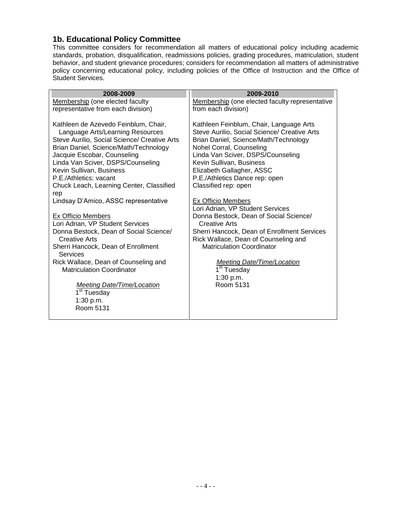#### **1b. Educational Policy Committee**

This committee considers for recommendation all matters of educational policy including academic standards, probation, disqualification, readmissions policies, grading procedures, matriculation, student behavior, and student grievance procedures; considers for recommendation all matters of administrative policy concerning educational policy, including policies of the Office of Instruction and the Office of Student Services.

| 2008-2009                                                                                                                                                                                                                                                                                                                                                                                                                                                                                                                                         | 2009-2010                                                                                                                                                                                                                                                                                                                                                                                                                                                                                                                                                                   |
|---------------------------------------------------------------------------------------------------------------------------------------------------------------------------------------------------------------------------------------------------------------------------------------------------------------------------------------------------------------------------------------------------------------------------------------------------------------------------------------------------------------------------------------------------|-----------------------------------------------------------------------------------------------------------------------------------------------------------------------------------------------------------------------------------------------------------------------------------------------------------------------------------------------------------------------------------------------------------------------------------------------------------------------------------------------------------------------------------------------------------------------------|
| Membership (one elected faculty                                                                                                                                                                                                                                                                                                                                                                                                                                                                                                                   | Membership (one elected faculty representative                                                                                                                                                                                                                                                                                                                                                                                                                                                                                                                              |
| representative from each division)                                                                                                                                                                                                                                                                                                                                                                                                                                                                                                                | from each division)                                                                                                                                                                                                                                                                                                                                                                                                                                                                                                                                                         |
| Kathleen de Azevedo Feinblum, Chair,<br>Language Arts/Learning Resources<br>Steve Aurilio, Social Science/ Creative Arts<br>Brian Daniel, Science/Math/Technology<br>Jacquie Escobar, Counseling<br>Linda Van Sciver, DSPS/Counseling<br>Kevin Sullivan, Business<br>P.E./Athletics: vacant<br>Chuck Leach, Learning Center, Classified<br>rep<br>Lindsay D'Amico, ASSC representative<br>Ex Officio Members<br>Lori Adrian, VP Student Services<br>Donna Bestock, Dean of Social Science/<br>Creative Arts<br>Sherri Hancock, Dean of Enrollment | Kathleen Feinblum, Chair, Language Arts<br>Steve Aurilio, Social Science/ Creative Arts<br>Brian Daniel, Science/Math/Technology<br>Nohel Corral, Counseling<br>Linda Van Sciver, DSPS/Counseling<br>Kevin Sullivan, Business<br>Elizabeth Gallagher, ASSC<br>P.E./Athletics Dance rep: open<br>Classified rep: open<br><b>Ex Officio Members</b><br>Lori Adrian, VP Student Services<br>Donna Bestock, Dean of Social Science/<br>Creative Arts<br>Sherri Hancock, Dean of Enrollment Services<br>Rick Wallace, Dean of Counseling and<br><b>Matriculation Coordinator</b> |
| Services                                                                                                                                                                                                                                                                                                                                                                                                                                                                                                                                          |                                                                                                                                                                                                                                                                                                                                                                                                                                                                                                                                                                             |
| Rick Wallace, Dean of Counseling and<br><b>Matriculation Coordinator</b>                                                                                                                                                                                                                                                                                                                                                                                                                                                                          | <b>Meeting Date/Time/Location</b><br>1 <sup>st</sup> Tuesday<br>1:30 p.m.                                                                                                                                                                                                                                                                                                                                                                                                                                                                                                   |
| <b>Meeting Date/Time/Location</b><br>1 <sup>st</sup> Tuesday                                                                                                                                                                                                                                                                                                                                                                                                                                                                                      | Room 5131                                                                                                                                                                                                                                                                                                                                                                                                                                                                                                                                                                   |
| 1:30 p.m.                                                                                                                                                                                                                                                                                                                                                                                                                                                                                                                                         |                                                                                                                                                                                                                                                                                                                                                                                                                                                                                                                                                                             |
| Room 5131                                                                                                                                                                                                                                                                                                                                                                                                                                                                                                                                         |                                                                                                                                                                                                                                                                                                                                                                                                                                                                                                                                                                             |
|                                                                                                                                                                                                                                                                                                                                                                                                                                                                                                                                                   |                                                                                                                                                                                                                                                                                                                                                                                                                                                                                                                                                                             |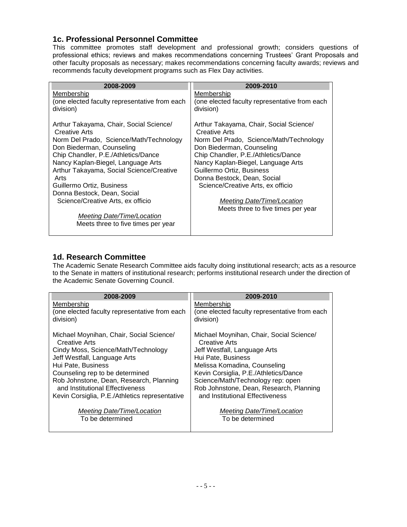### **1c. Professional Personnel Committee**

This committee promotes staff development and professional growth; considers questions of professional ethics; reviews and makes recommendations concerning Trustees' Grant Proposals and other faculty proposals as necessary; makes recommendations concerning faculty awards; reviews and recommends faculty development programs such as Flex Day activities.

| 2008-2009                                                | 2009-2010                                                |
|----------------------------------------------------------|----------------------------------------------------------|
| Membership                                               | Membership                                               |
| (one elected faculty representative from each            | (one elected faculty representative from each            |
| division)                                                | division)                                                |
|                                                          |                                                          |
| Arthur Takayama, Chair, Social Science/<br>Creative Arts | Arthur Takayama, Chair, Social Science/<br>Creative Arts |
| Norm Del Prado, Science/Math/Technology                  | Norm Del Prado, Science/Math/Technology                  |
| Don Biederman, Counseling                                | Don Biederman, Counseling                                |
| Chip Chandler, P.E./Athletics/Dance                      | Chip Chandler, P.E./Athletics/Dance                      |
| Nancy Kaplan-Biegel, Language Arts                       | Nancy Kaplan-Biegel, Language Arts                       |
| Arthur Takayama, Social Science/Creative                 | Guillermo Ortiz, Business                                |
| Arts                                                     | Donna Bestock, Dean, Social                              |
| Guillermo Ortiz, Business                                | Science/Creative Arts, ex officio                        |
| Donna Bestock, Dean, Social                              |                                                          |
| Science/Creative Arts, ex officio                        | Meeting Date/Time/Location                               |
|                                                          | Meets three to five times per year                       |
| <b>Meeting Date/Time/Location</b>                        |                                                          |
| Meets three to five times per year                       |                                                          |
|                                                          |                                                          |

## **1d. Research Committee**

The Academic Senate Research Committee aids faculty doing institutional research; acts as a resource to the Senate in matters of institutional research; performs institutional research under the direction of the Academic Senate Governing Council.

| 2008-2009                                      | 2009-2010                                     |
|------------------------------------------------|-----------------------------------------------|
| Membership                                     | Membership                                    |
| (one elected faculty representative from each  | (one elected faculty representative from each |
| division)                                      | division)                                     |
| Michael Moynihan, Chair, Social Science/       | Michael Moynihan, Chair, Social Science/      |
| Creative Arts                                  | <b>Creative Arts</b>                          |
| Cindy Moss, Science/Math/Technology            | Jeff Westfall, Language Arts                  |
| Jeff Westfall, Language Arts                   | Hui Pate, Business                            |
| Hui Pate, Business                             | Melissa Komadina, Counseling                  |
| Counseling rep to be determined                | Kevin Corsiglia, P.E./Athletics/Dance         |
| Rob Johnstone, Dean, Research, Planning        | Science/Math/Technology rep: open             |
| and Institutional Effectiveness                | Rob Johnstone, Dean, Research, Planning       |
| Kevin Corsiglia, P.E./Athletics representative | and Institutional Effectiveness               |
| Meeting Date/Time/Location                     | Meeting Date/Time/Location                    |
| To be determined                               | To be determined                              |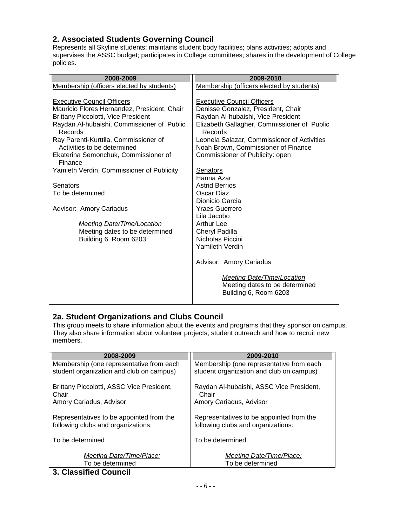## **2. Associated Students Governing Council**

Represents all Skyline students; maintains student body facilities; plans activities; adopts and supervises the ASSC budget; participates in College committees; shares in the development of College policies.

| 2008-2009                                                                                                                                                                                                                                                                                                          | 2009-2010                                                                                                                                                                                                                                                                                        |
|--------------------------------------------------------------------------------------------------------------------------------------------------------------------------------------------------------------------------------------------------------------------------------------------------------------------|--------------------------------------------------------------------------------------------------------------------------------------------------------------------------------------------------------------------------------------------------------------------------------------------------|
| Membership (officers elected by students)                                                                                                                                                                                                                                                                          | Membership (officers elected by students)                                                                                                                                                                                                                                                        |
| <b>Executive Council Officers</b><br>Mauricio Flores Hernandez, President, Chair<br><b>Brittany Piccolotti, Vice President</b><br>Raydan Al-hubaishi, Commissioner of Public<br>Records<br>Ray Parenti-Kurttila, Commissioner of<br>Activities to be determined<br>Ekaterina Semonchuk, Commissioner of<br>Finance | <b>Executive Council Officers</b><br>Denisse Gonzalez, President, Chair<br>Raydan Al-hubaishi, Vice President<br>Elizabeth Gallagher, Commissioner of Public<br>Records<br>Leonela Salazar, Commissioner of Activities<br>Noah Brown, Commissioner of Finance<br>Commissioner of Publicity: open |
| Yamieth Verdin, Commissioner of Publicity                                                                                                                                                                                                                                                                          | Senators                                                                                                                                                                                                                                                                                         |
| <b>Senators</b><br>To be determined<br>Advisor: Amory Cariadus<br><b>Meeting Date/Time/Location</b><br>Meeting dates to be determined<br>Building 6, Room 6203                                                                                                                                                     | Hanna Azar<br><b>Astrid Berrios</b><br>Oscar Diaz<br>Dionicio Garcia<br><b>Yraes Guerrero</b><br>Lila Jacobo<br>Arthur Lee<br>Cheryl Padilla<br>Nicholas Piccini<br>Yamileth Verdin                                                                                                              |
|                                                                                                                                                                                                                                                                                                                    | Advisor: Amory Cariadus<br>Meeting Date/Time/Location<br>Meeting dates to be determined<br>Building 6, Room 6203                                                                                                                                                                                 |

## **2a. Student Organizations and Clubs Council**

This group meets to share information about the events and programs that they sponsor on campus. They also share information about volunteer projects, student outreach and how to recruit new members.

| 2008-2009                                 | 2009-2010                                |
|-------------------------------------------|------------------------------------------|
| Membership (one representative from each  | Membership (one representative from each |
| student organization and club on campus)  | student organization and club on campus) |
| Brittany Piccolotti, ASSC Vice President, | Raydan Al-hubaishi, ASSC Vice President, |
| Chair                                     | Chair                                    |
| Amory Cariadus, Advisor                   | Amory Cariadus, Advisor                  |
| Representatives to be appointed from the  | Representatives to be appointed from the |
| following clubs and organizations:        | following clubs and organizations:       |
| To be determined                          | To be determined                         |
| Meeting Date/Time/Place:                  | Meeting Date/Time/Place:                 |
| To be determined                          | To be determined                         |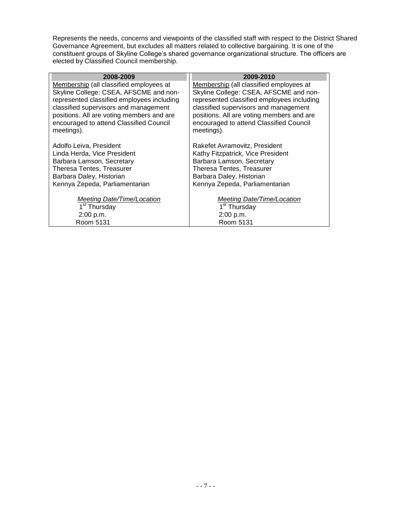Represents the needs, concerns and viewpoints of the classified staff with respect to the District Shared Governance Agreement, but excludes all matters related to collective bargaining. It is one of the constituent groups of Skyline College's shared governance organizational structure. The officers are elected by Classified Council membership.

| 2008-2009                                  | 2009-2010                                  |
|--------------------------------------------|--------------------------------------------|
| Membership (all classified employees at    | Membership (all classified employees at    |
| Skyline College: CSEA, AFSCME and non-     | Skyline College: CSEA, AFSCME and non-     |
| represented classified employees including | represented classified employees including |
| classified supervisors and management      | classified supervisors and management      |
| positions. All are voting members and are  | positions. All are voting members and are  |
| encouraged to attend Classified Council    | encouraged to attend Classified Council    |
| meetings).                                 | meetings).                                 |
|                                            |                                            |
| Adolfo Leiva, President                    | Rakefet Avramovitz, President              |
| Linda Herda, Vice President                | Kathy Fitzpatrick, Vice President          |
| Barbara Lamson, Secretary                  | Barbara Lamson, Secretary                  |
| Theresa Tentes, Treasurer                  | Theresa Tentes, Treasurer                  |
| Barbara Daley, Historian                   | Barbara Daley, Historian                   |
| Kennya Zepeda, Parliamentarian             | Kennya Zepeda, Parliamentarian             |
|                                            |                                            |
| Meeting Date/Time/Location                 | Meeting Date/Time/Location                 |
| 1 <sup>st</sup> Thursday                   | 1 <sup>st</sup> Thursday                   |
| 2:00 p.m.                                  | 2:00 p.m.                                  |
| Room 5131                                  | Room 5131                                  |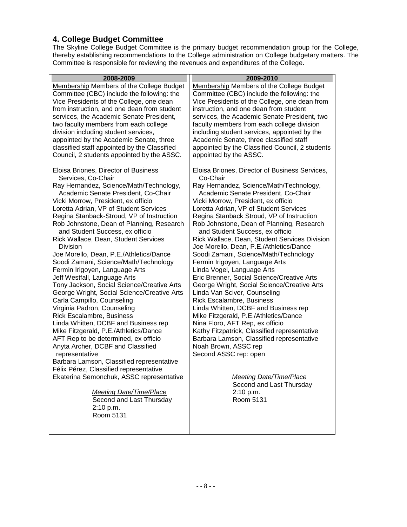## **4. College Budget Committee**

Room 5131

The Skyline College Budget Committee is the primary budget recommendation group for the College, thereby establishing recommendations to the College administration on College budgetary matters. The Committee is responsible for reviewing the revenues and expenditures of the College.

| 2008-2009                                        | 2009-2010                                                                                |
|--------------------------------------------------|------------------------------------------------------------------------------------------|
| Membership Members of the College Budget         | Membership Members of the College Budget                                                 |
| Committee (CBC) include the following: the       | Committee (CBC) include the following: the                                               |
| Vice Presidents of the College, one dean         | Vice Presidents of the College, one dean from                                            |
| from instruction, and one dean from student      | instruction, and one dean from student                                                   |
| services, the Academic Senate President,         | services, the Academic Senate President, two                                             |
| two faculty members from each college            | faculty members from each college division                                               |
| division including student services,             | including student services, appointed by the                                             |
| appointed by the Academic Senate, three          | Academic Senate, three classified staff                                                  |
| classified staff appointed by the Classified     | appointed by the Classified Council, 2 students                                          |
| Council, 2 students appointed by the ASSC.       | appointed by the ASSC.                                                                   |
| Eloisa Briones, Director of Business             | Eloisa Briones, Director of Business Services,                                           |
| Services, Co-Chair                               | Co-Chair                                                                                 |
| Ray Hernandez, Science/Math/Technology,          | Ray Hernandez, Science/Math/Technology,                                                  |
| Academic Senate President, Co-Chair              | Academic Senate President, Co-Chair                                                      |
| Vicki Morrow, President, ex officio              | Vicki Morrow, President, ex officio                                                      |
| Loretta Adrian, VP of Student Services           | Loretta Adrian, VP of Student Services                                                   |
| Regina Stanback-Stroud, VP of Instruction        | Regina Stanback Stroud, VP of Instruction                                                |
| Rob Johnstone, Dean of Planning, Research        | Rob Johnstone, Dean of Planning, Research                                                |
| and Student Success, ex officio                  | and Student Success, ex officio                                                          |
| Rick Wallace, Dean, Student Services<br>Division | Rick Wallace, Dean, Student Services Division<br>Joe Morello, Dean, P.E./Athletics/Dance |
| Joe Morello, Dean, P.E./Athletics/Dance          | Soodi Zamani, Science/Math/Technology                                                    |
| Soodi Zamani, Science/Math/Technology            | Fermin Irigoyen, Language Arts                                                           |
| Fermin Irigoyen, Language Arts                   | Linda Vogel, Language Arts                                                               |
| Jeff Westfall, Language Arts                     | Eric Brenner, Social Science/Creative Arts                                               |
| Tony Jackson, Social Science/Creative Arts       | George Wright, Social Science/Creative Arts                                              |
| George Wright, Social Science/Creative Arts      | Linda Van Sciver, Counseling                                                             |
| Carla Campillo, Counseling                       | <b>Rick Escalambre, Business</b>                                                         |
| Virginia Padron, Counseling                      | Linda Whitten, DCBF and Business rep                                                     |
| Rick Escalambre, Business                        | Mike Fitzgerald, P.E./Athletics/Dance                                                    |
| Linda Whitten, DCBF and Business rep             | Nina Floro, AFT Rep, ex officio                                                          |
| Mike Fitzgerald, P.E./Athletics/Dance            | Kathy Fitzpatrick, Classified representative                                             |
| AFT Rep to be determined, ex officio             | Barbara Lamson, Classified representative                                                |
| Anyta Archer, DCBF and Classified                | Noah Brown, ASSC rep                                                                     |
| representative                                   | Second ASSC rep: open                                                                    |
| Barbara Lamson, Classified representative        |                                                                                          |
| Félix Pérez, Classified representative           |                                                                                          |
| Ekaterina Semonchuk, ASSC representative         | Meeting Date/Time/Place                                                                  |
|                                                  | Second and Last Thursday                                                                 |
| <b>Meeting Date/Time/Place</b>                   | 2:10 p.m.                                                                                |
| Second and Last Thursday                         | Room 5131                                                                                |
| 2:10 p.m.                                        |                                                                                          |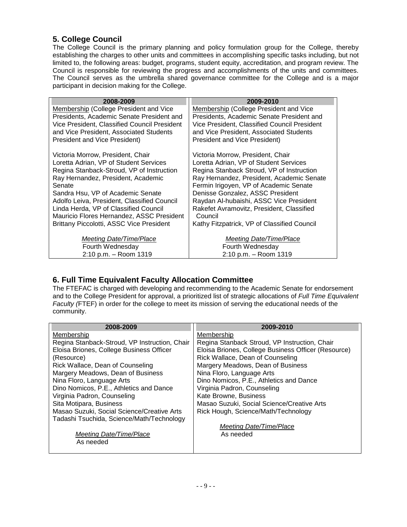## **5. College Council**

The College Council is the primary planning and policy formulation group for the College, thereby establishing the charges to other units and committees in accomplishing specific tasks including, but not limited to, the following areas: budget, programs, student equity, accreditation, and program review. The Council is responsible for reviewing the progress and accomplishments of the units and committees. The Council serves as the umbrella shared governance committee for the College and is a major participant in decision making for the College.

| 2008-2009                                       | 2009-2010                                    |
|-------------------------------------------------|----------------------------------------------|
| Membership (College President and Vice          | Membership (College President and Vice       |
| Presidents, Academic Senate President and       | Presidents, Academic Senate President and    |
| Vice President, Classified Council President    | Vice President, Classified Council President |
| and Vice President, Associated Students         | and Vice President, Associated Students      |
| <b>President and Vice President)</b>            | <b>President and Vice President)</b>         |
| Victoria Morrow, President, Chair               | Victoria Morrow, President, Chair            |
| Loretta Adrian, VP of Student Services          | Loretta Adrian, VP of Student Services       |
| Regina Stanback-Stroud, VP of Instruction       | Regina Stanback Stroud, VP of Instruction    |
| Ray Hernandez, President, Academic              | Ray Hernandez, President, Academic Senate    |
| Senate                                          | Fermin Irigoyen, VP of Academic Senate       |
| Sandra Hsu, VP of Academic Senate               | Denisse Gonzalez, ASSC President             |
| Adolfo Leiva, President, Classified Council     | Raydan Al-hubaishi, ASSC Vice President      |
| Linda Herda, VP of Classified Council           | Rakefet Avramovitz, President, Classified    |
| Mauricio Flores Hernandez, ASSC President       | Council                                      |
| <b>Brittany Piccolotti, ASSC Vice President</b> | Kathy Fitzpatrick, VP of Classified Council  |
| Meeting Date/Time/Place                         | Meeting Date/Time/Place                      |
| Fourth Wednesday                                | Fourth Wednesday                             |
| 2:10 p.m. - Room 1319                           | 2:10 p.m. - Room 1319                        |

## **6. Full Time Equivalent Faculty Allocation Committee**

The FTEFAC is charged with developing and recommending to the Academic Senate for endorsement and to the College President for approval, a prioritized list of strategic allocations of *Full Time Equivalent Faculty (*FTEF) in order for the college to meet its mission of serving the educational needs of the community.

| 2008-2009                                     | 2009-2010                                           |
|-----------------------------------------------|-----------------------------------------------------|
| Membership                                    | Membership                                          |
| Regina Stanback-Stroud, VP Instruction, Chair | Regina Stanback Stroud, VP Instruction, Chair       |
| Eloisa Briones, College Business Officer      | Eloisa Briones, College Business Officer (Resource) |
| (Resource)                                    | Rick Wallace, Dean of Counseling                    |
| Rick Wallace, Dean of Counseling              | Margery Meadows, Dean of Business                   |
| Margery Meadows, Dean of Business             | Nina Floro, Language Arts                           |
| Nina Floro, Language Arts                     | Dino Nomicos, P.E., Athletics and Dance             |
| Dino Nomicos, P.E., Athletics and Dance       | Virginia Padron, Counseling                         |
| Virginia Padron, Counseling                   | Kate Browne, Business                               |
| Sita Motipara, Business                       | Masao Suzuki, Social Science/Creative Arts          |
| Masao Suzuki, Social Science/Creative Arts    | Rick Hough, Science/Math/Technology                 |
| Tadashi Tsuchida, Science/Math/Technology     |                                                     |
|                                               | Meeting Date/Time/Place                             |
| Meeting Date/Time/Place                       | As needed                                           |
| As needed                                     |                                                     |
|                                               |                                                     |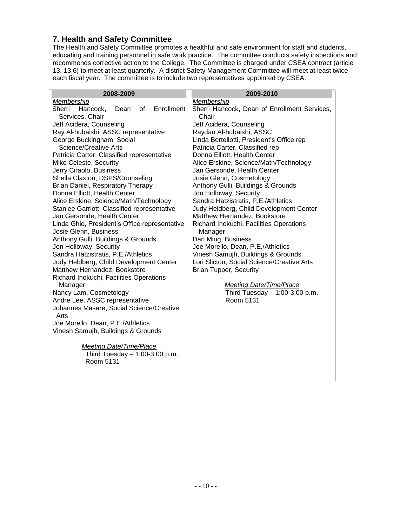### **7. Health and Safety Committee**

The Health and Safety Committee promotes a healthful and safe environment for staff and students, educating and training personnel in safe work practice. The committee conducts safety inspections and recommends corrective action to the College. The Committee is charged under CSEA contract (article 13. 13.6) to meet at least quarterly. A district Safety Management Committee will meet at least twice each fiscal year. The committee is to include two representatives appointed by CSEA.

| 2008-2009                                                   | 2009-2010                                    |
|-------------------------------------------------------------|----------------------------------------------|
| <b>Membership</b>                                           | Membership                                   |
| Enrollment<br>Sherri<br>Hancock,<br>Dean<br>of              | Sherri Hancock, Dean of Enrollment Services, |
| Services, Chair                                             | Chair                                        |
| Jeff Acidera, Counseling                                    | Jeff Acidera, Counseling                     |
| Ray Al-hubaishi, ASSC representative                        | Raydan Al-hubaishi, ASSC                     |
| George Buckingham, Social                                   | Linda Bertellotti, President's Office rep    |
| <b>Science/Creative Arts</b>                                | Patricia Carter, Classified rep              |
| Patricia Carter, Classified representative                  | Donna Elliott, Health Center                 |
| Mike Celeste, Security                                      | Alice Erskine, Science/Math/Technology       |
| Jerry Ciraolo, Business                                     | Jan Gersonde, Health Center                  |
| Sheila Claxton, DSPS/Counseling                             | Josie Glenn, Cosmetology                     |
| Brian Daniel, Respiratory Therapy                           | Anthony Gulli, Buildings & Grounds           |
| Donna Elliott, Health Center                                | Jon Holloway, Security                       |
| Alice Erskine, Science/Math/Technology                      | Sandra Hatzistratis, P.E./Athletics          |
| Stanlee Garriott, Classified representative                 | Judy Heldberg, Child Development Center      |
| Jan Gersonde, Health Center                                 | Matthew Hernandez, Bookstore                 |
| Linda Ghio, President's Office representative               | Richard Inokuchi, Facilities Operations      |
| Josie Glenn, Business<br>Anthony Gulli, Buildings & Grounds | Manager<br>Dan Ming, Business                |
| Jon Holloway, Security                                      | Joe Morello, Dean, P.E./Athletics            |
| Sandra Hatzistratis, P.E./Athletics                         | Vinesh Samujh, Buildings & Grounds           |
| Judy Heldberg, Child Development Center                     | Lori Slicton, Social Science/Creative Arts   |
| Matthew Hernandez, Bookstore                                | <b>Brian Tupper, Security</b>                |
| Richard Inokuchi, Facilities Operations                     |                                              |
| Manager                                                     | Meeting Date/Time/Place                      |
| Nancy Lam, Cosmetology                                      | Third Tuesday $-1:00-3:00$ p.m.              |
| Andre Lee, ASSC representative                              | Room 5131                                    |
| Johannes Masare, Social Science/Creative                    |                                              |
| Arts                                                        |                                              |
| Joe Morello, Dean, P.E./Athletics                           |                                              |
| Vinesh Samujh, Buildings & Grounds                          |                                              |
|                                                             |                                              |
| <b>Meeting Date/Time/Place</b>                              |                                              |
| Third Tuesday $- 1:00-3:00$ p.m.                            |                                              |
| Room 5131                                                   |                                              |
|                                                             |                                              |
|                                                             |                                              |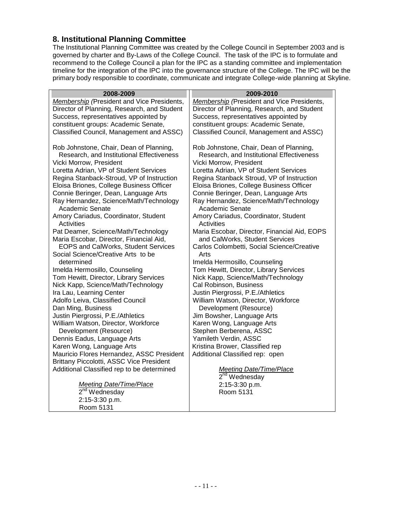#### **8. Institutional Planning Committee**

Room 5131

The Institutional Planning Committee was created by the College Council in September 2003 and is governed by charter and By-Laws of the College Council. The task of the IPC is to formulate and recommend to the College Council a plan for the IPC as a standing committee and implementation timeline for the integration of the IPC into the governance structure of the College. The IPC will be the primary body responsible to coordinate, communicate and integrate College-wide planning at Skyline.

| 2008-2009                                                                                                       | 2009-2010                                                                                                       |
|-----------------------------------------------------------------------------------------------------------------|-----------------------------------------------------------------------------------------------------------------|
| <b>Membership</b> (President and Vice Presidents,                                                               | <b>Membership</b> (President and Vice Presidents,                                                               |
| Director of Planning, Research, and Student                                                                     | Director of Planning, Research, and Student                                                                     |
| Success, representatives appointed by                                                                           | Success, representatives appointed by                                                                           |
| constituent groups: Academic Senate,                                                                            | constituent groups: Academic Senate,                                                                            |
| Classified Council, Management and ASSC)                                                                        | Classified Council, Management and ASSC)                                                                        |
| Rob Johnstone, Chair, Dean of Planning,<br>Research, and Institutional Effectiveness<br>Vicki Morrow, President | Rob Johnstone, Chair, Dean of Planning,<br>Research, and Institutional Effectiveness<br>Vicki Morrow, President |
| Loretta Adrian, VP of Student Services                                                                          | Loretta Adrian, VP of Student Services                                                                          |
| Regina Stanback-Stroud, VP of Instruction                                                                       | Regina Stanback Stroud, VP of Instruction                                                                       |
| Eloisa Briones, College Business Officer                                                                        | Eloisa Briones, College Business Officer                                                                        |
| Connie Beringer, Dean, Language Arts<br>Ray Hernandez, Science/Math/Technology<br>Academic Senate               | Connie Beringer, Dean, Language Arts<br>Ray Hernandez, Science/Math/Technology<br>Academic Senate               |
| Amory Cariadus, Coordinator, Student<br>Activities                                                              | Amory Cariadus, Coordinator, Student<br><b>Activities</b>                                                       |
| Pat Deamer, Science/Math/Technology                                                                             | Maria Escobar, Director, Financial Aid, EOPS                                                                    |
| Maria Escobar, Director, Financial Aid,                                                                         | and CalWorks, Student Services                                                                                  |
| EOPS and CalWorks, Student Services                                                                             | Carlos Colombetti, Social Science/Creative                                                                      |
| Social Science/Creative Arts to be                                                                              | Arts                                                                                                            |
| determined                                                                                                      | Imelda Hermosillo, Counseling                                                                                   |
| Imelda Hermosillo, Counseling                                                                                   | Tom Hewitt, Director, Library Services                                                                          |
| Tom Hewitt, Director, Library Services                                                                          | Nick Kapp, Science/Math/Technology                                                                              |
| Nick Kapp, Science/Math/Technology                                                                              | Cal Robinson, Business                                                                                          |
| Ira Lau, Learning Center                                                                                        | Justin Piergrossi, P.E./Athletics                                                                               |
| Adolfo Leiva, Classified Council                                                                                | William Watson, Director, Workforce                                                                             |
| Dan Ming, Business                                                                                              | Development (Resource)                                                                                          |
| Justin Piergrossi, P.E./Athletics                                                                               | Jim Bowsher, Language Arts                                                                                      |
| William Watson, Director, Workforce                                                                             | Karen Wong, Language Arts                                                                                       |
| Development (Resource)                                                                                          | Stephen Berberena, ASSC                                                                                         |
| Dennis Eadus, Language Arts                                                                                     | Yamileth Verdin, ASSC                                                                                           |
| Karen Wong, Language Arts                                                                                       | Kristina Brower, Classified rep                                                                                 |
| Mauricio Flores Hernandez, ASSC President<br>Brittany Piccolotti, ASSC Vice President                           | Additional Classified rep: open                                                                                 |
| Additional Classified rep to be determined                                                                      | <b>Meeting Date/Time/Place</b>                                                                                  |
|                                                                                                                 | $2nd$ Wednesday                                                                                                 |
| <b>Meeting Date/Time/Place</b>                                                                                  | 2:15-3:30 p.m.                                                                                                  |
| $2nd$ Wednesday                                                                                                 | Room 5131                                                                                                       |
| 2:15-3:30 p.m.                                                                                                  |                                                                                                                 |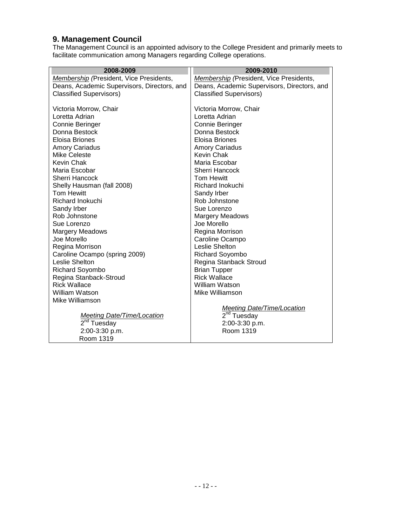#### **9. Management Council**

The Management Council is an appointed advisory to the College President and primarily meets to facilitate communication among Managers regarding College operations.

| 2008-2009                                   | 2009-2010                                   |
|---------------------------------------------|---------------------------------------------|
| Membership (President, Vice Presidents,     | Membership (President, Vice Presidents,     |
| Deans, Academic Supervisors, Directors, and | Deans, Academic Supervisors, Directors, and |
| <b>Classified Supervisors)</b>              | <b>Classified Supervisors)</b>              |
|                                             |                                             |
| Victoria Morrow, Chair                      | Victoria Morrow, Chair                      |
| Loretta Adrian                              | Loretta Adrian                              |
| Connie Beringer                             | Connie Beringer                             |
| Donna Bestock                               | Donna Bestock                               |
| <b>Eloisa Briones</b>                       | Eloisa Briones                              |
| <b>Amory Cariadus</b>                       | <b>Amory Cariadus</b>                       |
| <b>Mike Celeste</b>                         | Kevin Chak                                  |
| <b>Kevin Chak</b>                           | Maria Escobar                               |
| Maria Escobar                               | <b>Sherri Hancock</b>                       |
| <b>Sherri Hancock</b>                       | <b>Tom Hewitt</b>                           |
| Shelly Hausman (fall 2008)                  | Richard Inokuchi                            |
| <b>Tom Hewitt</b>                           | Sandy Irber                                 |
| Richard Inokuchi                            | Rob Johnstone                               |
| Sandy Irber                                 | Sue Lorenzo                                 |
| Rob Johnstone                               | <b>Margery Meadows</b>                      |
| Sue Lorenzo                                 | Joe Morello                                 |
| <b>Margery Meadows</b>                      | Regina Morrison                             |
| Joe Morello                                 | Caroline Ocampo                             |
| Regina Morrison                             | Leslie Shelton                              |
| Caroline Ocampo (spring 2009)               | <b>Richard Soyombo</b>                      |
| Leslie Shelton                              | Regina Stanback Stroud                      |
| Richard Soyombo                             | <b>Brian Tupper</b>                         |
| Regina Stanback-Stroud                      | <b>Rick Wallace</b>                         |
| <b>Rick Wallace</b>                         | William Watson                              |
| <b>William Watson</b>                       | Mike Williamson                             |
| Mike Williamson                             |                                             |
|                                             | <b>Meeting Date/Time/Location</b>           |
| <b>Meeting Date/Time/Location</b>           | $2nd$ Tuesday                               |
| $2nd$ Tuesday                               | 2:00-3:30 p.m.                              |
| 2:00-3:30 p.m.                              | Room 1319                                   |
| Room 1319                                   |                                             |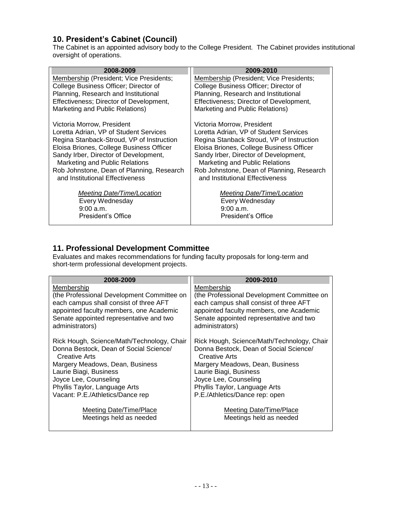## **10. President's Cabinet (Council)**

The Cabinet is an appointed advisory body to the College President. The Cabinet provides institutional oversight of operations.

| 2008-2009                                      | 2009-2010                                      |
|------------------------------------------------|------------------------------------------------|
| <b>Membership (President; Vice Presidents;</b> | <b>Membership (President; Vice Presidents;</b> |
| College Business Officer; Director of          | College Business Officer; Director of          |
| Planning, Research and Institutional           | Planning, Research and Institutional           |
| Effectiveness; Director of Development,        | Effectiveness; Director of Development,        |
| Marketing and Public Relations)                | Marketing and Public Relations)                |
| Victoria Morrow, President                     | Victoria Morrow, President                     |
| Loretta Adrian, VP of Student Services         | Loretta Adrian, VP of Student Services         |
| Regina Stanback-Stroud, VP of Instruction      | Regina Stanback Stroud, VP of Instruction      |
| Eloisa Briones, College Business Officer       | Eloisa Briones, College Business Officer       |
| Sandy Irber, Director of Development,          | Sandy Irber, Director of Development,          |
| Marketing and Public Relations                 | Marketing and Public Relations                 |
| Rob Johnstone, Dean of Planning, Research      | Rob Johnstone, Dean of Planning, Research      |
| and Institutional Effectiveness                | and Institutional Effectiveness                |
| Meeting Date/Time/Location                     | Meeting Date/Time/Location                     |
| Every Wednesday                                | Every Wednesday                                |
| 9:00 a.m.                                      | 9:00 a.m.                                      |
| President's Office                             | President's Office                             |
|                                                |                                                |

### **11. Professional Development Committee**

Evaluates and makes recommendations for funding faculty proposals for long-term and short-term professional development projects.

| 2008-2009                                                                          | 2009-2010                                                                          |
|------------------------------------------------------------------------------------|------------------------------------------------------------------------------------|
| Membership                                                                         | Membership                                                                         |
| (the Professional Development Committee on                                         | (the Professional Development Committee on                                         |
| each campus shall consist of three AFT                                             | each campus shall consist of three AFT                                             |
| appointed faculty members, one Academic<br>Senate appointed representative and two | appointed faculty members, one Academic<br>Senate appointed representative and two |
| administrators)                                                                    | administrators)                                                                    |
|                                                                                    |                                                                                    |
| Rick Hough, Science/Math/Technology, Chair                                         | Rick Hough, Science/Math/Technology, Chair                                         |
| Donna Bestock, Dean of Social Science/                                             | Donna Bestock, Dean of Social Science/                                             |
| Creative Arts                                                                      | Creative Arts                                                                      |
| Margery Meadows, Dean, Business                                                    | Margery Meadows, Dean, Business                                                    |
| Laurie Biagi, Business                                                             | Laurie Biagi, Business                                                             |
| Joyce Lee, Counseling                                                              | Joyce Lee, Counseling                                                              |
| Phyllis Taylor, Language Arts                                                      | Phyllis Taylor, Language Arts                                                      |
| Vacant: P.E./Athletics/Dance rep                                                   | P.E./Athletics/Dance rep: open                                                     |
|                                                                                    |                                                                                    |
| Meeting Date/Time/Place<br>Meetings held as needed                                 | Meeting Date/Time/Place<br>Meetings held as needed                                 |
|                                                                                    |                                                                                    |
|                                                                                    |                                                                                    |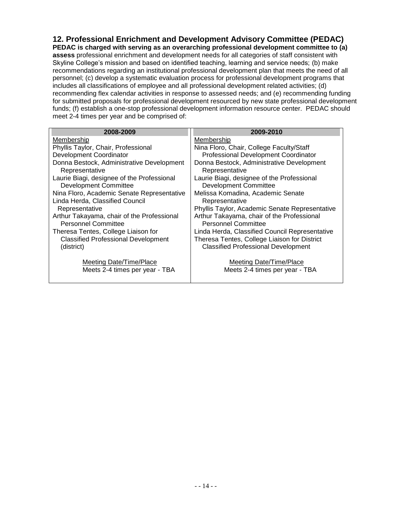**12. Professional Enrichment and Development Advisory Committee (PEDAC) PEDAC is charged with serving as an overarching professional development committee to (a) assess** professional enrichment and development needs for all categories of staff consistent with Skyline College's mission and based on identified teaching, learning and service needs; (b) make recommendations regarding an institutional professional development plan that meets the need of all personnel; (c) develop a systematic evaluation process for professional development programs that includes all classifications of employee and all professional development related activities; (d) recommending flex calendar activities in response to assessed needs; and (e) recommending funding for submitted proposals for professional development resourced by new state professional development funds; (f) establish a one-stop professional development information resource center. PEDAC should meet 2-4 times per year and be comprised of:

| 2008-2009                                                                  | 2009-2010                                                                                  |
|----------------------------------------------------------------------------|--------------------------------------------------------------------------------------------|
| Membership                                                                 | Membership                                                                                 |
| Phyllis Taylor, Chair, Professional                                        | Nina Floro, Chair, College Faculty/Staff                                                   |
| Development Coordinator                                                    | Professional Development Coordinator                                                       |
| Donna Bestock, Administrative Development<br>Representative                | Donna Bestock, Administrative Development<br>Representative                                |
| Laurie Biagi, designee of the Professional<br><b>Development Committee</b> | Laurie Biagi, designee of the Professional<br><b>Development Committee</b>                 |
| Nina Floro, Academic Senate Representative                                 | Melissa Komadina, Academic Senate                                                          |
| Linda Herda, Classified Council                                            | Representative                                                                             |
| Representative                                                             | Phyllis Taylor, Academic Senate Representative                                             |
| Arthur Takayama, chair of the Professional<br>Personnel Committee          | Arthur Takayama, chair of the Professional<br>Personnel Committee                          |
| Theresa Tentes, College Liaison for                                        | Linda Herda, Classified Council Representative                                             |
| <b>Classified Professional Development</b><br>(district)                   | Theresa Tentes, College Liaison for District<br><b>Classified Professional Development</b> |
| Meeting Date/Time/Place<br>Meets 2-4 times per year - TBA                  | Meeting Date/Time/Place<br>Meets 2-4 times per year - TBA                                  |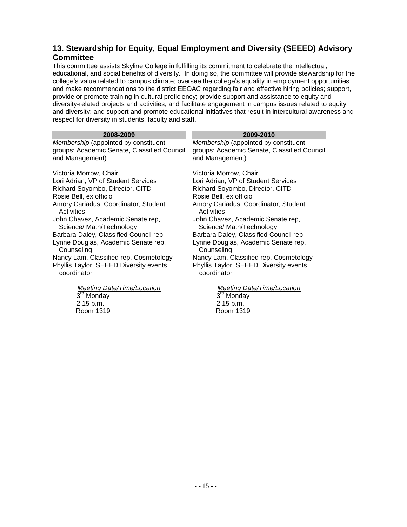## **13. Stewardship for Equity, Equal Employment and Diversity (SEEED) Advisory Committee**

This committee assists Skyline College in fulfilling its commitment to celebrate the intellectual, educational, and social benefits of diversity. In doing so, the committee will provide stewardship for the college's value related to campus climate; oversee the college's equality in employment opportunities and make recommendations to the district EEOAC regarding fair and effective hiring policies; support, provide or promote training in cultural proficiency; provide support and assistance to equity and diversity-related projects and activities, and facilitate engagement in campus issues related to equity and diversity; and support and promote educational initiatives that result in intercultural awareness and respect for diversity in students, faculty and staff.

| 2008-2009                                         | 2009-2010                                         |
|---------------------------------------------------|---------------------------------------------------|
| <b>Membership</b> (appointed by constituent       | <b>Membership</b> (appointed by constituent       |
| groups: Academic Senate, Classified Council       | groups: Academic Senate, Classified Council       |
| and Management)                                   | and Management)                                   |
| Victoria Morrow, Chair                            | Victoria Morrow, Chair                            |
| Lori Adrian, VP of Student Services               | Lori Adrian, VP of Student Services               |
| Richard Soyombo, Director, CITD                   | Richard Soyombo, Director, CITD                   |
| Rosie Bell, ex officio                            | Rosie Bell, ex officio                            |
| Amory Cariadus, Coordinator, Student              | Amory Cariadus, Coordinator, Student              |
| Activities                                        | Activities                                        |
| John Chavez, Academic Senate rep,                 | John Chavez, Academic Senate rep,                 |
| Science/ Math/Technology                          | Science/ Math/Technology                          |
| Barbara Daley, Classified Council rep             | Barbara Daley, Classified Council rep             |
| Lynne Douglas, Academic Senate rep,<br>Counseling | Lynne Douglas, Academic Senate rep,<br>Counseling |
| Nancy Lam, Classified rep, Cosmetology            | Nancy Lam, Classified rep, Cosmetology            |
| Phyllis Taylor, SEEED Diversity events            | Phyllis Taylor, SEEED Diversity events            |
| coordinator                                       | coordinator                                       |
|                                                   |                                                   |
| Meeting Date/Time/Location                        | <b>Meeting Date/Time/Location</b>                 |
| 3 <sup>rd</sup> Monday                            | 3 <sup>ra</sup> Monday                            |
| 2:15 p.m.                                         | 2:15 p.m.                                         |
| Room 1319                                         | Room 1319                                         |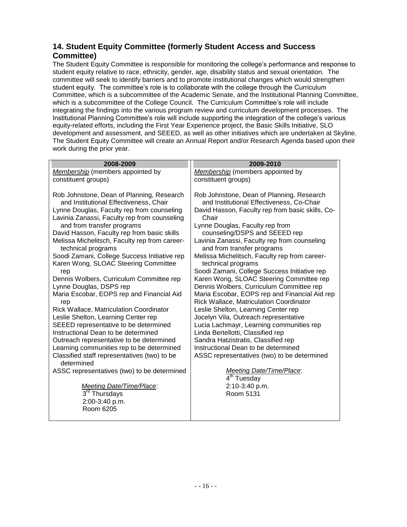## **14. Student Equity Committee (formerly Student Access and Success Committee)**

The Student Equity Committee is responsible for monitoring the college's performance and response to student equity relative to race, ethnicity, gender, age, disability status and sexual orientation. The committee will seek to identify barriers and to promote institutional changes which would strengthen student equity. The committee's role is to collaborate with the college through the Curriculum Committee, which is a subcommittee of the Academic Senate, and the Institutional Planning Committee, which is a subcommittee of the College Council. The Curriculum Committee's role will include integrating the findings into the various program review and curriculum development processes. The Institutional Planning Committee's role will include supporting the integration of the college's various equity-related efforts, including the First Year Experience project, the Basic Skills Initiative, SLO development and assessment, and SEEED, as well as other initiatives which are undertaken at Skyline. The Student Equity Committee will create an Annual Report and/or Research Agenda based upon their work during the prior year.

| 2008-2009                                                                                                                                                                                                                                                                                                                                                                                                                                                                                                                                                                                                                                                                                                                                                                     | 2009-2010                                                                                                                                                                                                                                                                                                                                                                                                                                                                                                                                                                                                                                                                                                                                                                                                                       |
|-------------------------------------------------------------------------------------------------------------------------------------------------------------------------------------------------------------------------------------------------------------------------------------------------------------------------------------------------------------------------------------------------------------------------------------------------------------------------------------------------------------------------------------------------------------------------------------------------------------------------------------------------------------------------------------------------------------------------------------------------------------------------------|---------------------------------------------------------------------------------------------------------------------------------------------------------------------------------------------------------------------------------------------------------------------------------------------------------------------------------------------------------------------------------------------------------------------------------------------------------------------------------------------------------------------------------------------------------------------------------------------------------------------------------------------------------------------------------------------------------------------------------------------------------------------------------------------------------------------------------|
| Membership (members appointed by                                                                                                                                                                                                                                                                                                                                                                                                                                                                                                                                                                                                                                                                                                                                              | Membership (members appointed by                                                                                                                                                                                                                                                                                                                                                                                                                                                                                                                                                                                                                                                                                                                                                                                                |
| constituent groups)                                                                                                                                                                                                                                                                                                                                                                                                                                                                                                                                                                                                                                                                                                                                                           | constituent groups)                                                                                                                                                                                                                                                                                                                                                                                                                                                                                                                                                                                                                                                                                                                                                                                                             |
| Rob Johnstone, Dean of Planning, Research<br>and Institutional Effectiveness, Chair<br>Lynne Douglas, Faculty rep from counseling<br>Lavinia Zanassi, Faculty rep from counseling<br>and from transfer programs<br>David Hasson, Faculty rep from basic skills<br>Melissa Michelitsch, Faculty rep from career-<br>technical programs<br>Soodi Zamani, College Success Initiative rep<br>Karen Wong, SLOAC Steering Committee<br>rep<br>Dennis Wolbers, Curriculum Committee rep<br>Lynne Douglas, DSPS rep<br>Maria Escobar, EOPS rep and Financial Aid<br>rep<br>Rick Wallace, Matriculation Coordinator<br>Leslie Shelton, Learning Center rep<br>SEEED representative to be determined<br>Instructional Dean to be determined<br>Outreach representative to be determined | Rob Johnstone, Dean of Planning, Research<br>and Institutional Effectiveness, Co-Chair<br>David Hasson, Faculty rep from basic skills, Co-<br>Chair<br>Lynne Douglas, Faculty rep from<br>counseling/DSPS and SEEED rep<br>Lavinia Zanassi, Faculty rep from counseling<br>and from transfer programs<br>Melissa Michelitsch, Faculty rep from career-<br>technical programs<br>Soodi Zamani, College Success Initiative rep<br>Karen Wong, SLOAC Steering Committee rep<br>Dennis Wolbers, Curriculum Committee rep<br>Maria Escobar, EOPS rep and Financial Aid rep<br><b>Rick Wallace, Matriculation Coordinator</b><br>Leslie Shelton, Learning Center rep<br>Jocelyn Vila, Outreach representative<br>Lucia Lachmayr, Learning communities rep<br>Linda Bertellotti, Classified rep<br>Sandra Hatzistratis, Classified rep |
| Learning communities rep to be determined                                                                                                                                                                                                                                                                                                                                                                                                                                                                                                                                                                                                                                                                                                                                     | Instructional Dean to be determined                                                                                                                                                                                                                                                                                                                                                                                                                                                                                                                                                                                                                                                                                                                                                                                             |
| Classified staff representatives (two) to be<br>determined                                                                                                                                                                                                                                                                                                                                                                                                                                                                                                                                                                                                                                                                                                                    | ASSC representatives (two) to be determined                                                                                                                                                                                                                                                                                                                                                                                                                                                                                                                                                                                                                                                                                                                                                                                     |
| ASSC representatives (two) to be determined                                                                                                                                                                                                                                                                                                                                                                                                                                                                                                                                                                                                                                                                                                                                   | Meeting Date/Time/Place:<br>4 <sup>th</sup> Tuesday                                                                                                                                                                                                                                                                                                                                                                                                                                                                                                                                                                                                                                                                                                                                                                             |
| Meeting Date/Time/Place:                                                                                                                                                                                                                                                                                                                                                                                                                                                                                                                                                                                                                                                                                                                                                      | 2:10-3:40 p.m.                                                                                                                                                                                                                                                                                                                                                                                                                                                                                                                                                                                                                                                                                                                                                                                                                  |
| 3rd Thursdays                                                                                                                                                                                                                                                                                                                                                                                                                                                                                                                                                                                                                                                                                                                                                                 | Room 5131                                                                                                                                                                                                                                                                                                                                                                                                                                                                                                                                                                                                                                                                                                                                                                                                                       |
| 2:00-3:40 p.m.                                                                                                                                                                                                                                                                                                                                                                                                                                                                                                                                                                                                                                                                                                                                                                |                                                                                                                                                                                                                                                                                                                                                                                                                                                                                                                                                                                                                                                                                                                                                                                                                                 |
| Room 6205                                                                                                                                                                                                                                                                                                                                                                                                                                                                                                                                                                                                                                                                                                                                                                     |                                                                                                                                                                                                                                                                                                                                                                                                                                                                                                                                                                                                                                                                                                                                                                                                                                 |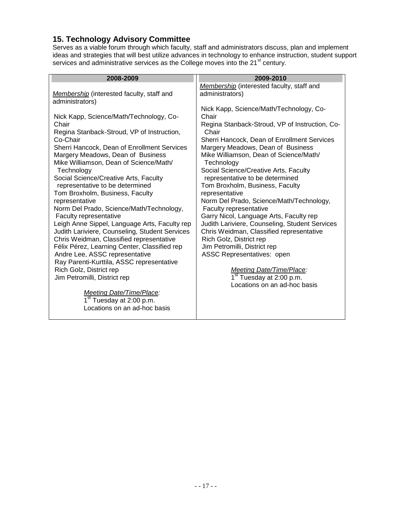## **15. Technology Advisory Committee**

Locations on an ad-hoc basis

Serves as a viable forum through which faculty, staff and administrators discuss, plan and implement ideas and strategies that will best utilize advances in technology to enhance instruction, student support services and administrative services as the College moves into the 21 $^{\rm st}$  century.

| 2008-2009                                                                                       | 2009-2010                                                                                  |
|-------------------------------------------------------------------------------------------------|--------------------------------------------------------------------------------------------|
|                                                                                                 | Membership (interested faculty, staff and                                                  |
| Membership (interested faculty, staff and                                                       | administrators)                                                                            |
| administrators)                                                                                 |                                                                                            |
| Nick Kapp, Science/Math/Technology, Co-                                                         | Nick Kapp, Science/Math/Technology, Co-<br>Chair                                           |
| Chair                                                                                           | Regina Stanback-Stroud, VP of Instruction, Co-                                             |
| Regina Stanback-Stroud, VP of Instruction,                                                      | Chair                                                                                      |
| Co-Chair                                                                                        | Sherri Hancock, Dean of Enrollment Services                                                |
| Sherri Hancock, Dean of Enrollment Services                                                     | Margery Meadows, Dean of Business                                                          |
| Margery Meadows, Dean of Business                                                               | Mike Williamson, Dean of Science/Math/                                                     |
| Mike Williamson, Dean of Science/Math/<br>Technology                                            | Technology                                                                                 |
| Social Science/Creative Arts, Faculty                                                           | Social Science/Creative Arts, Faculty<br>representative to be determined                   |
| representative to be determined                                                                 | Tom Broxholm, Business, Faculty                                                            |
| Tom Broxholm, Business, Faculty                                                                 | representative                                                                             |
| representative                                                                                  | Norm Del Prado, Science/Math/Technology,                                                   |
| Norm Del Prado, Science/Math/Technology,                                                        | Faculty representative                                                                     |
| Faculty representative                                                                          | Garry Nicol, Language Arts, Faculty rep                                                    |
| Leigh Anne Sippel, Language Arts, Faculty rep<br>Judith Lariviere, Counseling, Student Services | Judith Lariviere, Counseling, Student Services<br>Chris Weidman, Classified representative |
| Chris Weidman, Classified representative                                                        | Rich Golz, District rep                                                                    |
| Félix Pérez, Learning Center, Classified rep                                                    | Jim Petromilli, District rep                                                               |
| Andre Lee, ASSC representative                                                                  | ASSC Representatives: open                                                                 |
| Ray Parenti-Kurttila, ASSC representative                                                       |                                                                                            |
| Rich Golz, District rep                                                                         | <b>Meeting Date/Time/Place:</b>                                                            |
| Jim Petromilli, District rep                                                                    | 1 <sup>st</sup> Tuesday at 2:00 p.m.<br>Locations on an ad-hoc basis                       |
| <b>Meeting Date/Time/Place:</b>                                                                 |                                                                                            |
| 1 <sup>st</sup> Tuesday at 2:00 p.m.                                                            |                                                                                            |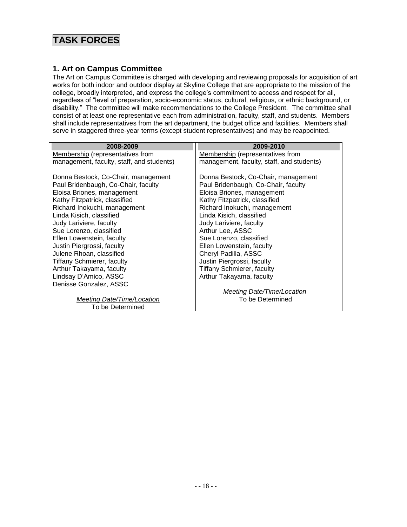# **TASK FORCES**

### **1. Art on Campus Committee**

The Art on Campus Committee is charged with developing and reviewing proposals for acquisition of art works for both indoor and outdoor display at Skyline College that are appropriate to the mission of the college, broadly interpreted, and express the college's commitment to access and respect for all, regardless of "level of preparation, socio-economic status, cultural, religious, or ethnic background, or disability." The committee will make recommendations to the College President. The committee shall consist of at least one representative each from administration, faculty, staff, and students. Members shall include representatives from the art department, the budget office and facilities. Members shall serve in staggered three-year terms (except student representatives) and may be reappointed.

| 2008-2009                                 | 2009-2010                                 |
|-------------------------------------------|-------------------------------------------|
| Membership (representatives from          | Membership (representatives from          |
| management, faculty, staff, and students) | management, faculty, staff, and students) |
| Donna Bestock, Co-Chair, management       | Donna Bestock, Co-Chair, management       |
| Paul Bridenbaugh, Co-Chair, faculty       | Paul Bridenbaugh, Co-Chair, faculty       |
| Eloisa Briones, management                | Eloisa Briones, management                |
| Kathy Fitzpatrick, classified             | Kathy Fitzpatrick, classified             |
| Richard Inokuchi, management              | Richard Inokuchi, management              |
| Linda Kisich, classified                  | Linda Kisich, classified                  |
| Judy Lariviere, faculty                   | Judy Lariviere, faculty                   |
| Sue Lorenzo, classified                   | Arthur Lee, ASSC                          |
| Ellen Lowenstein, faculty                 | Sue Lorenzo, classified                   |
| Justin Piergrossi, faculty                | Ellen Lowenstein, faculty                 |
| Julene Rhoan, classified                  | Cheryl Padilla, ASSC                      |
| <b>Tiffany Schmierer, faculty</b>         | Justin Piergrossi, faculty                |
| Arthur Takayama, faculty                  | <b>Tiffany Schmierer, faculty</b>         |
| Lindsay D'Amico, ASSC                     | Arthur Takayama, faculty                  |
| Denisse Gonzalez, ASSC                    |                                           |
|                                           | Meeting Date/Time/Location                |
| Meeting Date/Time/Location                | To be Determined                          |
| To be Determined                          |                                           |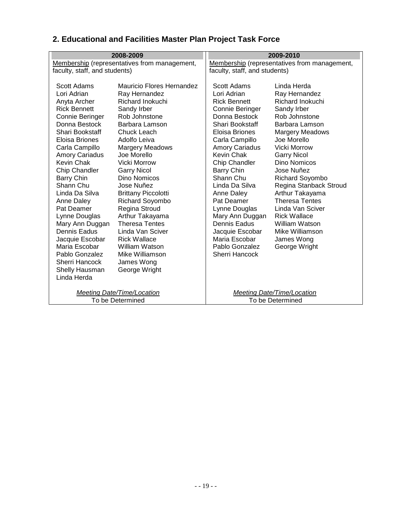|                                                                                                                                                                                                                                                                                                                                                                                                                                                                   | 2008-2009                                                                                                                                                                                                                                                                                                                                                                                                                                                                                               | 2009-2010                                                                                                                                                                                                                                                                                                                                                                                                                      |                                                                                                                                                                                                                                                                                                                                                                                                                                              |
|-------------------------------------------------------------------------------------------------------------------------------------------------------------------------------------------------------------------------------------------------------------------------------------------------------------------------------------------------------------------------------------------------------------------------------------------------------------------|---------------------------------------------------------------------------------------------------------------------------------------------------------------------------------------------------------------------------------------------------------------------------------------------------------------------------------------------------------------------------------------------------------------------------------------------------------------------------------------------------------|--------------------------------------------------------------------------------------------------------------------------------------------------------------------------------------------------------------------------------------------------------------------------------------------------------------------------------------------------------------------------------------------------------------------------------|----------------------------------------------------------------------------------------------------------------------------------------------------------------------------------------------------------------------------------------------------------------------------------------------------------------------------------------------------------------------------------------------------------------------------------------------|
|                                                                                                                                                                                                                                                                                                                                                                                                                                                                   | Membership (representatives from management,                                                                                                                                                                                                                                                                                                                                                                                                                                                            |                                                                                                                                                                                                                                                                                                                                                                                                                                | Membership (representatives from management,                                                                                                                                                                                                                                                                                                                                                                                                 |
| faculty, staff, and students)                                                                                                                                                                                                                                                                                                                                                                                                                                     |                                                                                                                                                                                                                                                                                                                                                                                                                                                                                                         | faculty, staff, and students)                                                                                                                                                                                                                                                                                                                                                                                                  |                                                                                                                                                                                                                                                                                                                                                                                                                                              |
| Scott Adams<br>Lori Adrian<br>Anyta Archer<br><b>Rick Bennett</b><br>Connie Beringer<br>Donna Bestock<br>Shari Bookstaff<br>Eloisa Briones<br>Carla Campillo<br><b>Amory Cariadus</b><br>Kevin Chak<br>Chip Chandler<br>Barry Chin<br>Shann Chu<br>Linda Da Silva<br>Anne Daley<br>Pat Deamer<br>Lynne Douglas<br>Mary Ann Duggan<br><b>Dennis Eadus</b><br>Jacquie Escobar<br>Maria Escobar<br>Pablo Gonzalez<br>Sherri Hancock<br>Shelly Hausman<br>Linda Herda | Mauricio Flores Hernandez<br>Ray Hernandez<br>Richard Inokuchi<br>Sandy Irber<br>Rob Johnstone<br>Barbara Lamson<br>Chuck Leach<br>Adolfo Leiva<br><b>Margery Meadows</b><br>Joe Morello<br>Vicki Morrow<br><b>Garry Nicol</b><br><b>Dino Nomicos</b><br>Jose Nuñez<br><b>Brittany Piccolotti</b><br><b>Richard Soyombo</b><br>Regina Stroud<br>Arthur Takayama<br><b>Theresa Tentes</b><br>Linda Van Sciver<br><b>Rick Wallace</b><br>William Watson<br>Mike Williamson<br>James Wong<br>George Wright | Scott Adams<br>Lori Adrian<br><b>Rick Bennett</b><br>Connie Beringer<br>Donna Bestock<br>Shari Bookstaff<br>Eloisa Briones<br>Carla Campillo<br><b>Amory Cariadus</b><br><b>Kevin Chak</b><br>Chip Chandler<br><b>Barry Chin</b><br>Shann Chu<br>Linda Da Silva<br>Anne Daley<br>Pat Deamer<br>Lynne Douglas<br>Mary Ann Duggan<br><b>Dennis Eadus</b><br>Jacquie Escobar<br>Maria Escobar<br>Pablo Gonzalez<br>Sherri Hancock | Linda Herda<br>Ray Hernandez<br>Richard Inokuchi<br>Sandy Irber<br>Rob Johnstone<br>Barbara Lamson<br><b>Margery Meadows</b><br>Joe Morello<br><b>Vicki Morrow</b><br><b>Garry Nicol</b><br><b>Dino Nomicos</b><br>Jose Nuñez<br><b>Richard Soyombo</b><br>Regina Stanback Stroud<br>Arthur Takayama<br><b>Theresa Tentes</b><br>Linda Van Sciver<br><b>Rick Wallace</b><br>William Watson<br>Mike Williamson<br>James Wong<br>George Wright |
|                                                                                                                                                                                                                                                                                                                                                                                                                                                                   | Meeting Date/Time/Location<br>To be Determined                                                                                                                                                                                                                                                                                                                                                                                                                                                          |                                                                                                                                                                                                                                                                                                                                                                                                                                | Meeting Date/Time/Location<br>To be Determined                                                                                                                                                                                                                                                                                                                                                                                               |

# **2. Educational and Facilities Master Plan Project Task Force**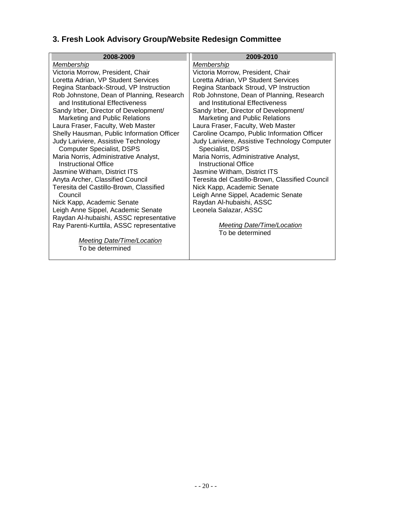# **3. Fresh Look Advisory Group/Website Redesign Committee**

| 2008-2009                                  | 2009-2010                                       |
|--------------------------------------------|-------------------------------------------------|
| <b>Membership</b>                          | <b>Membership</b>                               |
| Victoria Morrow, President, Chair          | Victoria Morrow, President, Chair               |
| Loretta Adrian, VP Student Services        | Loretta Adrian, VP Student Services             |
| Regina Stanback-Stroud, VP Instruction     | Regina Stanback Stroud, VP Instruction          |
| Rob Johnstone, Dean of Planning, Research  | Rob Johnstone, Dean of Planning, Research       |
| and Institutional Effectiveness            | and Institutional Effectiveness                 |
| Sandy Irber, Director of Development/      | Sandy Irber, Director of Development/           |
| Marketing and Public Relations             | Marketing and Public Relations                  |
| Laura Fraser, Faculty, Web Master          | Laura Fraser, Faculty, Web Master               |
| Shelly Hausman, Public Information Officer | Caroline Ocampo, Public Information Officer     |
| Judy Lariviere, Assistive Technology       | Judy Lariviere, Assistive Technology Computer   |
| <b>Computer Specialist, DSPS</b>           | Specialist, DSPS                                |
| Maria Norris, Administrative Analyst,      | Maria Norris, Administrative Analyst,           |
| Instructional Office                       | Instructional Office                            |
| Jasmine Witham, District ITS               | Jasmine Witham, District ITS                    |
| Anyta Archer, Classified Council           | Teresita del Castillo-Brown, Classified Council |
| Teresita del Castillo-Brown, Classified    | Nick Kapp, Academic Senate                      |
| Council                                    | Leigh Anne Sippel, Academic Senate              |
| Nick Kapp, Academic Senate                 | Raydan Al-hubaishi, ASSC                        |
| Leigh Anne Sippel, Academic Senate         | Leonela Salazar, ASSC                           |
| Raydan Al-hubaishi, ASSC representative    |                                                 |
| Ray Parenti-Kurttila, ASSC representative  | <b>Meeting Date/Time/Location</b>               |
|                                            | To be determined                                |
| <b>Meeting Date/Time/Location</b>          |                                                 |
| To be determined                           |                                                 |
|                                            |                                                 |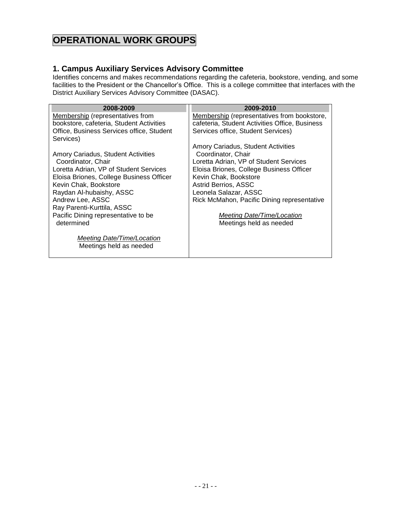# **OPERATIONAL WORK GROUPS**

### **1. Campus Auxiliary Services Advisory Committee**

Identifies concerns and makes recommendations regarding the cafeteria, bookstore, vending, and some facilities to the President or the Chancellor's Office. This is a college committee that interfaces with the District Auxiliary Services Advisory Committee (DASAC).

| 2008-2009                                 | 2009-2010                                      |
|-------------------------------------------|------------------------------------------------|
| Membership (representatives from          | Membership (representatives from bookstore,    |
| bookstore, cafeteria, Student Activities  | cafeteria, Student Activities Office, Business |
| Office, Business Services office, Student | Services office, Student Services)             |
| Services)                                 |                                                |
|                                           | Amory Cariadus, Student Activities             |
| Amory Cariadus, Student Activities        | Coordinator, Chair                             |
| Coordinator, Chair                        | Loretta Adrian, VP of Student Services         |
| Loretta Adrian, VP of Student Services    | Eloisa Briones, College Business Officer       |
| Eloisa Briones, College Business Officer  | Kevin Chak, Bookstore                          |
| Kevin Chak, Bookstore                     | Astrid Berrios, ASSC                           |
| Raydan Al-hubaishy, ASSC                  | Leonela Salazar, ASSC                          |
| Andrew Lee, ASSC                          | Rick McMahon, Pacific Dining representative    |
| Ray Parenti-Kurttila, ASSC                |                                                |
| Pacific Dining representative to be       | Meeting Date/Time/Location                     |
| determined                                | Meetings held as needed                        |
|                                           |                                                |
| Meeting Date/Time/Location                |                                                |
| Meetings held as needed                   |                                                |
|                                           |                                                |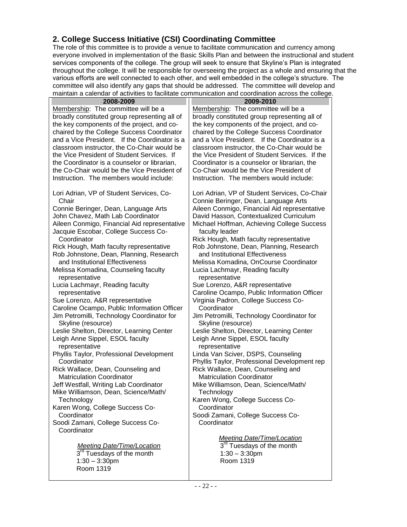## **2. College Success Initiative (CSI) Coordinating Committee**

The role of this committee is to provide a venue to facilitate communication and currency among everyone involved in implementation of the Basic Skills Plan and between the instructional and student services components of the college. The group will seek to ensure that Skyline's Plan is integrated throughout the college. It will be responsible for overseeing the project as a whole and ensuring that the various efforts are well connected to each other, and well embedded in the college's structure. The committee will also identify any gaps that should be addressed. The committee will develop and maintain a calendar of activities to facilitate communication and coordination across the college.

| maintain a baichear or abuvilled to radificate communication and coordination adress the college                               |                                                                                                                                                                                  |
|--------------------------------------------------------------------------------------------------------------------------------|----------------------------------------------------------------------------------------------------------------------------------------------------------------------------------|
| 2008-2009                                                                                                                      | 2009-2010                                                                                                                                                                        |
| Membership: The committee will be a                                                                                            | Membership: The committee will be a                                                                                                                                              |
| broadly constituted group representing all of                                                                                  | broadly constituted group representing all of                                                                                                                                    |
| the key components of the project, and co-                                                                                     | the key components of the project, and co-                                                                                                                                       |
| chaired by the College Success Coordinator                                                                                     | chaired by the College Success Coordinator                                                                                                                                       |
| and a Vice President. If the Coordinator is a                                                                                  | and a Vice President. If the Coordinator is a                                                                                                                                    |
| classroom instructor, the Co-Chair would be                                                                                    | classroom instructor, the Co-Chair would be                                                                                                                                      |
| the Vice President of Student Services. If                                                                                     | the Vice President of Student Services. If the                                                                                                                                   |
| the Coordinator is a counselor or librarian,                                                                                   | Coordinator is a counselor or librarian, the                                                                                                                                     |
| the Co-Chair would be the Vice President of                                                                                    | Co-Chair would be the Vice President of                                                                                                                                          |
| Instruction. The members would include:                                                                                        | Instruction. The members would include:                                                                                                                                          |
| Lori Adrian, VP of Student Services, Co-<br>Chair<br>Connie Beringer, Dean, Language Arts<br>John Chavez, Math Lab Coordinator | Lori Adrian, VP of Student Services, Co-Chair<br>Connie Beringer, Dean, Language Arts<br>Aileen Conmigo, Financial Aid representative<br>David Hasson, Contextualized Curriculum |
| Aileen Conmigo, Financial Aid representative<br>Jacquie Escobar, College Success Co-                                           | Michael Hoffman, Achieving College Success<br>faculty leader                                                                                                                     |
| Coordinator                                                                                                                    | Rick Hough, Math faculty representative                                                                                                                                          |
| Rick Hough, Math faculty representative                                                                                        | Rob Johnstone, Dean, Planning, Research                                                                                                                                          |
| Rob Johnstone, Dean, Planning, Research                                                                                        | and Institutional Effectiveness                                                                                                                                                  |
| and Institutional Effectiveness                                                                                                | Melissa Komadina, OnCourse Coordinator                                                                                                                                           |
| Melissa Komadina, Counseling faculty<br>representative                                                                         | Lucia Lachmayr, Reading faculty<br>representative                                                                                                                                |
| Lucia Lachmayr, Reading faculty                                                                                                | Sue Lorenzo, A&R representative                                                                                                                                                  |
| representative                                                                                                                 | Caroline Ocampo, Public Information Officer                                                                                                                                      |
| Sue Lorenzo, A&R representative                                                                                                | Virginia Padron, College Success Co-                                                                                                                                             |
| Caroline Ocampo, Public Information Officer                                                                                    | Coordinator                                                                                                                                                                      |
| Jim Petromilli, Technology Coordinator for                                                                                     | Jim Petromilli, Technology Coordinator for                                                                                                                                       |
| Skyline (resource)                                                                                                             | Skyline (resource)                                                                                                                                                               |
| Leslie Shelton, Director, Learning Center                                                                                      | Leslie Shelton, Director, Learning Center                                                                                                                                        |
| Leigh Anne Sippel, ESOL faculty                                                                                                | Leigh Anne Sippel, ESOL faculty                                                                                                                                                  |
| representative                                                                                                                 | representative                                                                                                                                                                   |
| Phyllis Taylor, Professional Development                                                                                       | Linda Van Sciver, DSPS, Counseling                                                                                                                                               |
| Coordinator                                                                                                                    | Phyllis Taylor, Professional Development rep                                                                                                                                     |
| Rick Wallace, Dean, Counseling and                                                                                             | Rick Wallace, Dean, Counseling and                                                                                                                                               |
| <b>Matriculation Coordinator</b>                                                                                               | <b>Matriculation Coordinator</b>                                                                                                                                                 |
| Jeff Westfall, Writing Lab Coordinator                                                                                         | Mike Williamson, Dean, Science/Math/                                                                                                                                             |
| Mike Williamson, Dean, Science/Math/                                                                                           |                                                                                                                                                                                  |
|                                                                                                                                | Technology                                                                                                                                                                       |
| Technology                                                                                                                     | Karen Wong, College Success Co-<br>Coordinator                                                                                                                                   |
| Karen Wong, College Success Co-<br>Coordinator                                                                                 |                                                                                                                                                                                  |
|                                                                                                                                | Soodi Zamani, College Success Co-                                                                                                                                                |
| Soodi Zamani, College Success Co-                                                                                              | Coordinator                                                                                                                                                                      |
| Coordinator                                                                                                                    |                                                                                                                                                                                  |
|                                                                                                                                | <b>Meeting Date/Time/Location</b>                                                                                                                                                |
| <b>Meeting Date/Time/Location</b>                                                                                              | 3 <sup>rd</sup> Tuesdays of the month                                                                                                                                            |
| 3 <sup>rd</sup> Tuesdays of the month                                                                                          | $1:30 - 3:30$ pm                                                                                                                                                                 |
| $1:30 - 3:30$ pm                                                                                                               | Room 1319                                                                                                                                                                        |
| Room 1319                                                                                                                      |                                                                                                                                                                                  |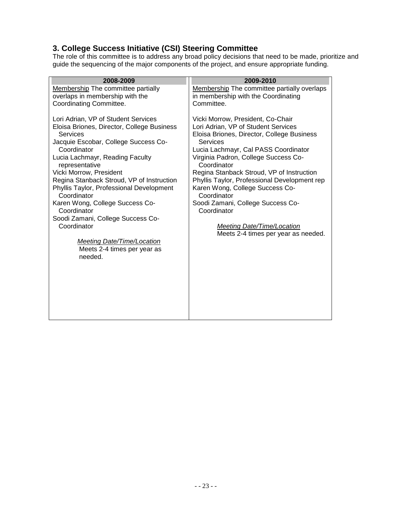## **3. College Success Initiative (CSI) Steering Committee**

The role of this committee is to address any broad policy decisions that need to be made, prioritize and guide the sequencing of the major components of the project, and ensure appropriate funding.

| 2008-2009                                         | 2009-2010                                           |
|---------------------------------------------------|-----------------------------------------------------|
| <b>Membership The committee partially</b>         | Membership The committee partially overlaps         |
| overlaps in membership with the                   | in membership with the Coordinating                 |
| Coordinating Committee.                           | Committee.                                          |
|                                                   |                                                     |
| Lori Adrian, VP of Student Services               | Vicki Morrow, President, Co-Chair                   |
| Eloisa Briones, Director, College Business        | Lori Adrian, VP of Student Services                 |
| Services                                          | Eloisa Briones, Director, College Business          |
| Jacquie Escobar, College Success Co-              | Services                                            |
| Coordinator                                       | Lucia Lachmayr, Cal PASS Coordinator                |
| Lucia Lachmayr, Reading Faculty<br>representative | Virginia Padron, College Success Co-<br>Coordinator |
| Vicki Morrow, President                           | Regina Stanback Stroud, VP of Instruction           |
| Regina Stanback Stroud, VP of Instruction         | Phyllis Taylor, Professional Development rep        |
| Phyllis Taylor, Professional Development          | Karen Wong, College Success Co-                     |
| Coordinator                                       | Coordinator                                         |
| Karen Wong, College Success Co-                   | Soodi Zamani, College Success Co-                   |
| Coordinator                                       | Coordinator                                         |
| Soodi Zamani, College Success Co-                 |                                                     |
| Coordinator                                       | <b>Meeting Date/Time/Location</b>                   |
|                                                   | Meets 2-4 times per year as needed.                 |
| <b>Meeting Date/Time/Location</b>                 |                                                     |
| Meets 2-4 times per year as                       |                                                     |
| needed.                                           |                                                     |
|                                                   |                                                     |
|                                                   |                                                     |
|                                                   |                                                     |
|                                                   |                                                     |
|                                                   |                                                     |
|                                                   |                                                     |
|                                                   |                                                     |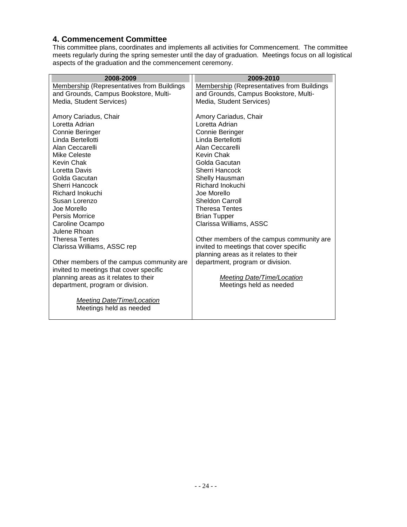#### **4. Commencement Committee**

This committee plans, coordinates and implements all activities for Commencement. The committee meets regularly during the spring semester until the day of graduation. Meetings focus on all logistical aspects of the graduation and the commencement ceremony.

| 2008-2009                                         | 2009-2010                                  |
|---------------------------------------------------|--------------------------------------------|
| <b>Membership (Representatives from Buildings</b> | Membership (Representatives from Buildings |
| and Grounds, Campus Bookstore, Multi-             | and Grounds, Campus Bookstore, Multi-      |
| Media, Student Services)                          | Media, Student Services)                   |
|                                                   |                                            |
| Amory Cariadus, Chair                             | Amory Cariadus, Chair                      |
| Loretta Adrian                                    | Loretta Adrian                             |
| Connie Beringer                                   | Connie Beringer                            |
| Linda Bertellotti                                 | Linda Bertellotti                          |
| Alan Ceccarelli                                   | Alan Ceccarelli                            |
| Mike Celeste                                      | Kevin Chak                                 |
| Kevin Chak                                        | Golda Gacutan                              |
| Loretta Davis                                     | Sherri Hancock                             |
| Golda Gacutan                                     | Shelly Hausman                             |
| Sherri Hancock                                    | Richard Inokuchi                           |
| Richard Inokuchi                                  | Joe Morello                                |
| Susan Lorenzo                                     | Sheldon Carroll                            |
| Joe Morello                                       | <b>Theresa Tentes</b>                      |
| Persis Morrice                                    | <b>Brian Tupper</b>                        |
| Caroline Ocampo                                   | Clarissa Williams, ASSC                    |
| Julene Rhoan                                      |                                            |
| <b>Theresa Tentes</b>                             | Other members of the campus community are. |
| Clarissa Williams, ASSC rep                       | invited to meetings that cover specific    |
|                                                   | planning areas as it relates to their      |
| Other members of the campus community are         | department, program or division.           |
| invited to meetings that cover specific           |                                            |
| planning areas as it relates to their             | Meeting Date/Time/Location                 |
| department, program or division.                  | Meetings held as needed                    |
|                                                   |                                            |
| Meeting Date/Time/Location                        |                                            |
| Meetings held as needed                           |                                            |
|                                                   |                                            |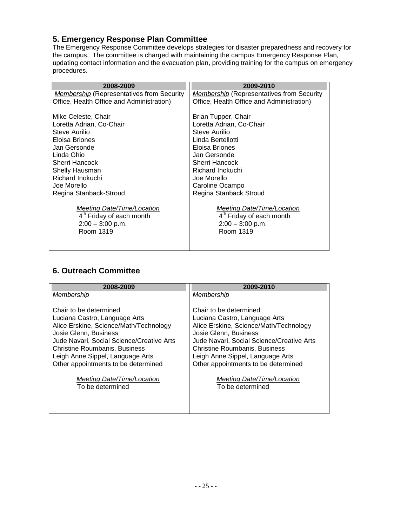## **5. Emergency Response Plan Committee**

The Emergency Response Committee develops strategies for disaster preparedness and recovery for the campus. The committee is charged with maintaining the campus Emergency Response Plan, updating contact information and the evacuation plan, providing training for the campus on emergency procedures.

| 2008-2009                                        | 2009-2010                                        |
|--------------------------------------------------|--------------------------------------------------|
| <i>Membership</i> (Representatives from Security | <i>Membership</i> (Representatives from Security |
| Office, Health Office and Administration)        | Office, Health Office and Administration)        |
|                                                  |                                                  |
| Mike Celeste, Chair                              | Brian Tupper, Chair                              |
| Loretta Adrian, Co-Chair                         | Loretta Adrian, Co-Chair                         |
| Steve Aurilio                                    | Steve Aurilio                                    |
| Eloisa Briones                                   | Linda Bertellotti                                |
| Jan Gersonde                                     | Eloisa Briones                                   |
| Linda Ghio                                       | Jan Gersonde                                     |
| Sherri Hancock                                   | Sherri Hancock                                   |
| Shelly Hausman                                   | Richard Inokuchi                                 |
| Richard Inokuchi                                 | Joe Morello                                      |
| Joe Morello                                      | Caroline Ocampo                                  |
| Regina Stanback-Stroud                           | Regina Stanback Stroud                           |
|                                                  |                                                  |
| <b>Meeting Date/Time/Location</b>                | <b>Meeting Date/Time/Location</b>                |
| 4 <sup>th</sup> Friday of each month             | 4 <sup>th</sup> Friday of each month             |
| $2:00 - 3:00$ p.m.                               | $2:00 - 3:00$ p.m.                               |
| Room 1319                                        | Room 1319                                        |
|                                                  |                                                  |
|                                                  |                                                  |

## **6. Outreach Committee**

| 2008-2009                                 | 2009-2010                                 |
|-------------------------------------------|-------------------------------------------|
| Membership                                | Membership                                |
| Chair to be determined                    | Chair to be determined                    |
| Luciana Castro, Language Arts             | Luciana Castro, Language Arts             |
| Alice Erskine, Science/Math/Technology    | Alice Erskine, Science/Math/Technology    |
| Josie Glenn, Business                     | Josie Glenn, Business                     |
| Jude Navari, Social Science/Creative Arts | Jude Navari, Social Science/Creative Arts |
| <b>Christine Roumbanis, Business</b>      | <b>Christine Roumbanis, Business</b>      |
| Leigh Anne Sippel, Language Arts          | Leigh Anne Sippel, Language Arts          |
| Other appointments to be determined       | Other appointments to be determined       |
| Meeting Date/Time/Location                | Meeting Date/Time/Location                |
| To be determined                          | To be determined                          |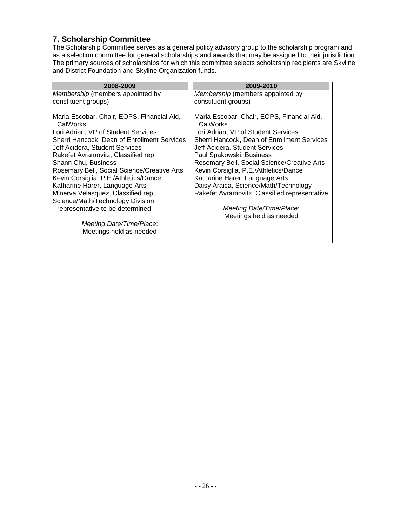## **7. Scholarship Committee**

The Scholarship Committee serves as a general policy advisory group to the scholarship program and as a selection committee for general scholarships and awards that may be assigned to their jurisdiction. The primary sources of scholarships for which this committee selects scholarship recipients are Skyline and District Foundation and Skyline Organization funds.

| 2008-2009                                              | 2009-2010                                              |
|--------------------------------------------------------|--------------------------------------------------------|
| Membership (members appointed by                       | Membership (members appointed by                       |
| constituent groups)                                    | constituent groups)                                    |
| Maria Escobar, Chair, EOPS, Financial Aid,<br>CalWorks | Maria Escobar, Chair, EOPS, Financial Aid,<br>CalWorks |
| Lori Adrian, VP of Student Services                    | Lori Adrian, VP of Student Services                    |
| Sherri Hancock, Dean of Enrollment Services            | Sherri Hancock, Dean of Enrollment Services            |
| Jeff Acidera, Student Services                         | Jeff Acidera, Student Services                         |
| Rakefet Avramovitz, Classified rep                     | Paul Spakowski, Business                               |
| Shann Chu, Business                                    | Rosemary Bell, Social Science/Creative Arts            |
| Rosemary Bell, Social Science/Creative Arts            | Kevin Corsiglia, P.E./Athletics/Dance                  |
| Kevin Corsiglia, P.E./Athletics/Dance                  | Katharine Harer, Language Arts                         |
| Katharine Harer, Language Arts                         | Daisy Araica, Science/Math/Technology                  |
| Minerva Velasquez, Classified rep                      | Rakefet Avramovitz, Classified representative          |
| Science/Math/Technology Division                       |                                                        |
| representative to be determined                        | Meeting Date/Time/Place:                               |
|                                                        | Meetings held as needed                                |
| Meeting Date/Time/Place:                               |                                                        |
| Meetings held as needed                                |                                                        |